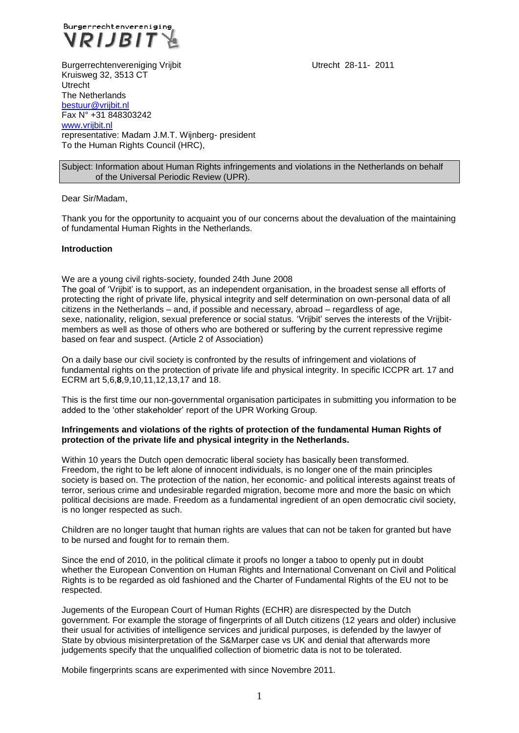

Burgerrechtenvereniging Vrijbit Utrecht 28-11- 2011 Kruisweg 32, 3513 CT Utrecht The Netherlands [bestuur@vrijbit.nl](mailto:bestuur@vrijbit.nl) Fax N° +31 848303242 [www.vrijbit.nl](http://www.vrijbit.nl/) representative: Madam J.M.T. Wijnberg- president To the Human Rights Council (HRC),

## Subject: Information about Human Rights infringements and violations in the Netherlands on behalf of the Universal Periodic Review (UPR).

#### Dear Sir/Madam,

Thank you for the opportunity to acquaint you of our concerns about the devaluation of the maintaining of fundamental Human Rights in the Netherlands.

#### **Introduction**

We are a young civil rights-society, founded 24th June 2008

The goal of 'Vrijbit' is to support, as an independent organisation, in the broadest sense all efforts of protecting the right of private life, physical integrity and self determination on own-personal data of all citizens in the Netherlands – and, if possible and necessary, abroad – regardless of age, sexe, nationality, religion, sexual preference or social status. 'Vrijbit' serves the interests of the Vrijbitmembers as well as those of others who are bothered or suffering by the current repressive regime based on fear and suspect. (Article 2 of Association)

On a daily base our civil society is confronted by the results of infringement and violations of fundamental rights on the protection of private life and physical integrity. In specific ICCPR art. 17 and ECRM art 5,6,**8**,9,10,11,12,13,17 and 18.

This is the first time our non-governmental organisation participates in submitting you information to be added to the 'other stakeholder' report of the UPR Working Group.

#### **Infringements and violations of the rights of protection of the fundamental Human Rights of protection of the private life and physical integrity in the Netherlands.**

Within 10 years the Dutch open democratic liberal society has basically been transformed. Freedom, the right to be left alone of innocent individuals, is no longer one of the main principles society is based on. The protection of the nation, her economic- and political interests against treats of terror, serious crime and undesirable regarded migration, become more and more the basic on which political decisions are made. Freedom as a fundamental ingredient of an open democratic civil society, is no longer respected as such.

Children are no longer taught that human rights are values that can not be taken for granted but have to be nursed and fought for to remain them.

Since the end of 2010, in the political climate it proofs no longer a taboo to openly put in doubt whether the European Convention on Human Rights and International Convenant on Civil and Political Rights is to be regarded as old fashioned and the Charter of Fundamental Rights of the EU not to be respected.

Jugements of the European Court of Human Rights (ECHR) are disrespected by the Dutch government. For example the storage of fingerprints of all Dutch citizens (12 years and older) inclusive their usual for activities of intelligence services and juridical purposes, is defended by the lawyer of State by obvious misinterpretation of the S&Marper case vs UK and denial that afterwards more judgements specify that the unqualified collection of biometric data is not to be tolerated.

Mobile fingerprints scans are experimented with since Novembre 2011.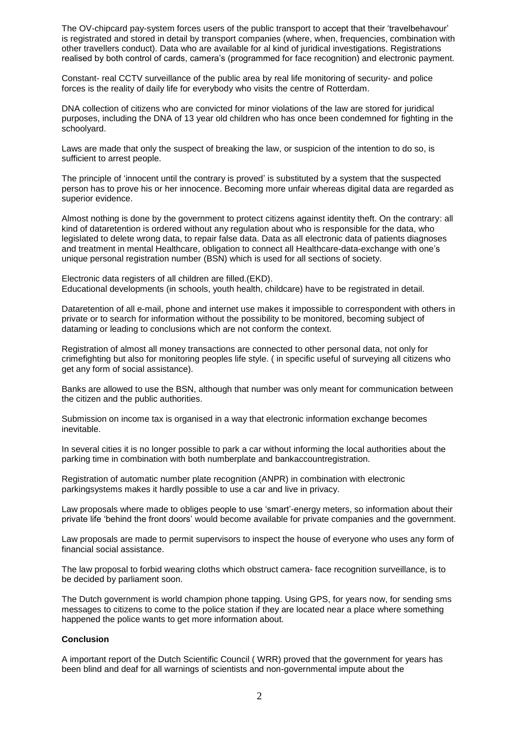The OV-chipcard pay-system forces users of the public transport to accept that their 'travelbehavour' is registrated and stored in detail by transport companies (where, when, frequencies, combination with other travellers conduct). Data who are available for al kind of juridical investigations. Registrations realised by both control of cards, camera's (programmed for face recognition) and electronic payment.

Constant- real CCTV surveillance of the public area by real life monitoring of security- and police forces is the reality of daily life for everybody who visits the centre of Rotterdam.

DNA collection of citizens who are convicted for minor violations of the law are stored for juridical purposes, including the DNA of 13 year old children who has once been condemned for fighting in the schoolyard.

Laws are made that only the suspect of breaking the law, or suspicion of the intention to do so, is sufficient to arrest people.

The principle of 'innocent until the contrary is proved' is substituted by a system that the suspected person has to prove his or her innocence. Becoming more unfair whereas digital data are regarded as superior evidence.

Almost nothing is done by the government to protect citizens against identity theft. On the contrary: all kind of dataretention is ordered without any regulation about who is responsible for the data, who legislated to delete wrong data, to repair false data. Data as all electronic data of patients diagnoses and treatment in mental Healthcare, obligation to connect all Healthcare-data-exchange with one's unique personal registration number (BSN) which is used for all sections of society.

Electronic data registers of all children are filled.(EKD). Educational developments (in schools, youth health, childcare) have to be registrated in detail.

Dataretention of all e-mail, phone and internet use makes it impossible to correspondent with others in private or to search for information without the possibility to be monitored, becoming subject of dataming or leading to conclusions which are not conform the context.

Registration of almost all money transactions are connected to other personal data, not only for crimefighting but also for monitoring peoples life style. ( in specific useful of surveying all citizens who get any form of social assistance).

Banks are allowed to use the BSN, although that number was only meant for communication between the citizen and the public authorities.

Submission on income tax is organised in a way that electronic information exchange becomes inevitable.

In several cities it is no longer possible to park a car without informing the local authorities about the parking time in combination with both numberplate and bankaccountregistration.

Registration of automatic number plate recognition (ANPR) in combination with electronic parkingsystems makes it hardly possible to use a car and live in privacy.

Law proposals where made to obliges people to use 'smart'-energy meters, so information about their private life 'behind the front doors' would become available for private companies and the government.

Law proposals are made to permit supervisors to inspect the house of everyone who uses any form of financial social assistance.

The law proposal to forbid wearing cloths which obstruct camera- face recognition surveillance, is to be decided by parliament soon.

The Dutch government is world champion phone tapping. Using GPS, for years now, for sending sms messages to citizens to come to the police station if they are located near a place where something happened the police wants to get more information about.

### **Conclusion**

A important report of the Dutch Scientific Council ( WRR) proved that the government for years has been blind and deaf for all warnings of scientists and non-governmental impute about the